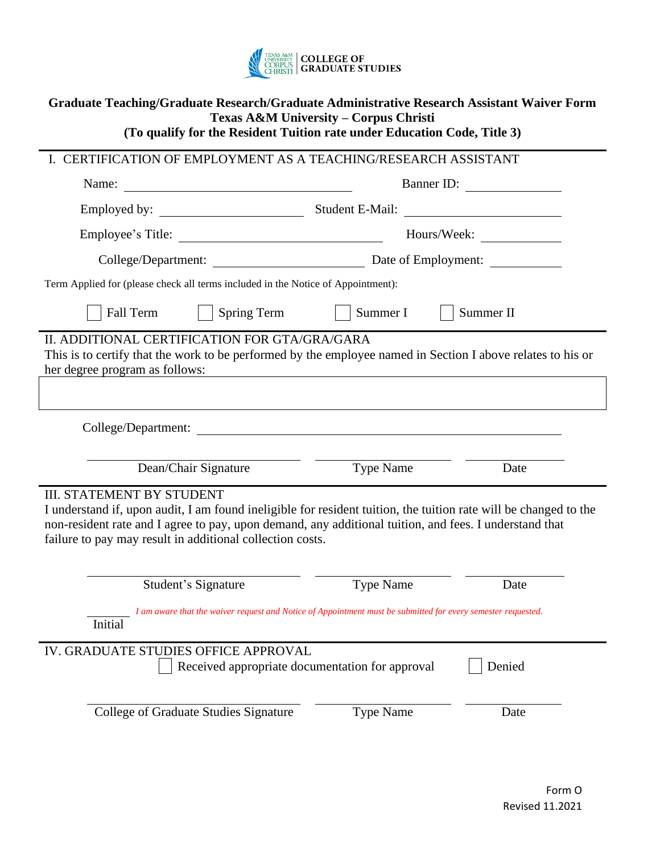

| Graduate Teaching/Graduate Research/Graduate Administrative Research Assistant Waiver Form<br>Texas A&M University - Corpus Christi<br>(To qualify for the Resident Tuition rate under Education Code, Title 3)                                                                                                             |                  |           |
|-----------------------------------------------------------------------------------------------------------------------------------------------------------------------------------------------------------------------------------------------------------------------------------------------------------------------------|------------------|-----------|
| I. CERTIFICATION OF EMPLOYMENT AS A TEACHING/RESEARCH ASSISTANT                                                                                                                                                                                                                                                             |                  |           |
| Name:                                                                                                                                                                                                                                                                                                                       |                  |           |
|                                                                                                                                                                                                                                                                                                                             | Student E-Mail:  |           |
|                                                                                                                                                                                                                                                                                                                             |                  |           |
|                                                                                                                                                                                                                                                                                                                             |                  |           |
| Term Applied for (please check all terms included in the Notice of Appointment):                                                                                                                                                                                                                                            |                  |           |
| Spring Term<br><b>Fall Term</b>                                                                                                                                                                                                                                                                                             | Summer I         | Summer II |
| II. ADDITIONAL CERTIFICATION FOR GTA/GRA/GARA<br>This is to certify that the work to be performed by the employee named in Section I above relates to his or<br>her degree program as follows:                                                                                                                              |                  |           |
| College/Department:<br>Dean/Chair Signature                                                                                                                                                                                                                                                                                 | Type Name        | Date      |
|                                                                                                                                                                                                                                                                                                                             |                  |           |
| <b>III. STATEMENT BY STUDENT</b><br>I understand if, upon audit, I am found ineligible for resident tuition, the tuition rate will be changed to the<br>non-resident rate and I agree to pay, upon demand, any additional tuition, and fees. I understand that<br>failure to pay may result in additional collection costs. |                  |           |
| Student's Signature                                                                                                                                                                                                                                                                                                         | <b>Type Name</b> | Date      |
| I am aware that the waiver request and Notice of Appointment must be submitted for every semester requested.<br>Initial                                                                                                                                                                                                     |                  |           |
| IV. GRADUATE STUDIES OFFICE APPROVAL<br>Received appropriate documentation for approval<br>Denied                                                                                                                                                                                                                           |                  |           |
| College of Graduate Studies Signature                                                                                                                                                                                                                                                                                       | <b>Type Name</b> | Date      |